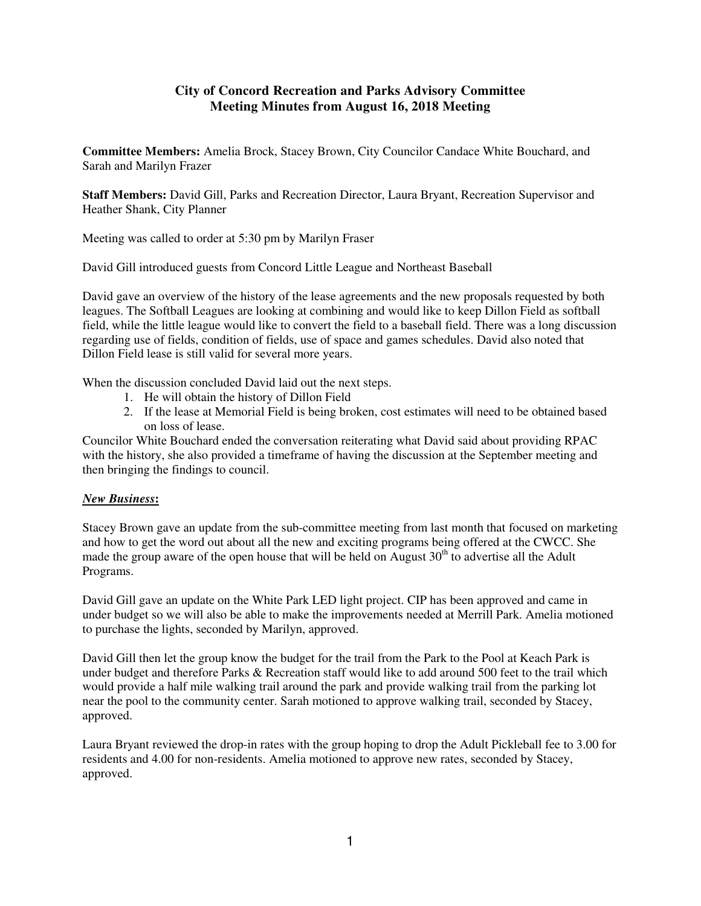## **City of Concord Recreation and Parks Advisory Committee Meeting Minutes from August 16, 2018 Meeting**

**Committee Members:** Amelia Brock, Stacey Brown, City Councilor Candace White Bouchard, and Sarah and Marilyn Frazer

**Staff Members:** David Gill, Parks and Recreation Director, Laura Bryant, Recreation Supervisor and Heather Shank, City Planner

Meeting was called to order at 5:30 pm by Marilyn Fraser

David Gill introduced guests from Concord Little League and Northeast Baseball

David gave an overview of the history of the lease agreements and the new proposals requested by both leagues. The Softball Leagues are looking at combining and would like to keep Dillon Field as softball field, while the little league would like to convert the field to a baseball field. There was a long discussion regarding use of fields, condition of fields, use of space and games schedules. David also noted that Dillon Field lease is still valid for several more years.

When the discussion concluded David laid out the next steps.

- 1. He will obtain the history of Dillon Field
- 2. If the lease at Memorial Field is being broken, cost estimates will need to be obtained based on loss of lease.

Councilor White Bouchard ended the conversation reiterating what David said about providing RPAC with the history, she also provided a timeframe of having the discussion at the September meeting and then bringing the findings to council.

## *New Business***:**

Stacey Brown gave an update from the sub-committee meeting from last month that focused on marketing and how to get the word out about all the new and exciting programs being offered at the CWCC. She made the group aware of the open house that will be held on August  $30<sup>th</sup>$  to advertise all the Adult Programs.

David Gill gave an update on the White Park LED light project. CIP has been approved and came in under budget so we will also be able to make the improvements needed at Merrill Park. Amelia motioned to purchase the lights, seconded by Marilyn, approved.

David Gill then let the group know the budget for the trail from the Park to the Pool at Keach Park is under budget and therefore Parks & Recreation staff would like to add around 500 feet to the trail which would provide a half mile walking trail around the park and provide walking trail from the parking lot near the pool to the community center. Sarah motioned to approve walking trail, seconded by Stacey, approved.

Laura Bryant reviewed the drop-in rates with the group hoping to drop the Adult Pickleball fee to 3.00 for residents and 4.00 for non-residents. Amelia motioned to approve new rates, seconded by Stacey, approved.